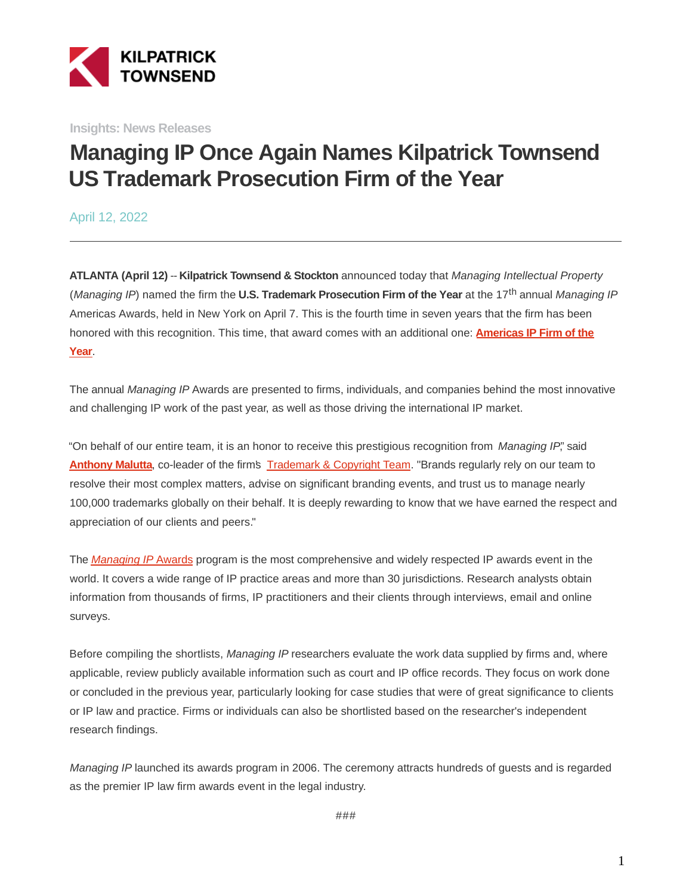

**Insights: News Releases**

# **Managing IP Once Again Names Kilpatrick Townsend US Trademark Prosecution Firm of the Year**

April 12, 2022

**ATLANTA (April 12)** -- **Kilpatrick Townsend & Stockton** announced today that Managing Intellectual Property (Managing IP) named the firm the **U.S. Trademark Prosecution Firm of the Year** at the 17th annual Managing IP Americas Awards, held in New York on April 7. This is the fourth time in seven years that the firm has been honored with this recognition. This time, that award comes with an additional one: **[Americas IP Firm of the](https://kilpatricktownsend.com/en/insights/news/news%20release/2022/4/managing%20intellectual%20property%20names%20kilpatrick%20townsend%20americas%20ip%20firm%20of%20the%20year) Year**.

The annual Managing IP Awards are presented to firms, individuals, and companies behind the most innovative and challenging IP work of the past year, as well as those driving the international IP market.

"On behalf of our entire team, it is an honor to receive this prestigious recognition from Managing IP", said **[Anthony Malutta](https://kilpatricktownsend.com/en/people/m/maluttaanthonyj)**, co-leader of the firm's [Trademark & Copyright Team.](https://kilpatricktownsend.com/Services/IntellectualProperty/TrademarkCopyrightAdvertising) "Brands regularly rely on our team to resolve their most complex matters, advise on significant branding events, and trust us to manage nearly 100,000 trademarks globally on their behalf. It is deeply rewarding to know that we have earned the respect and appreciation of our clients and peers."

The [Managing IP](https://www.managingipawards.com/) [Awards](https://www.managingipawards.com/) program is the most comprehensive and widely respected IP awards event in the world. It covers a wide range of IP practice areas and more than 30 jurisdictions. Research analysts obtain information from thousands of firms, IP practitioners and their clients through interviews, email and online surveys.

Before compiling the shortlists, Managing IP researchers evaluate the work data supplied by firms and, where applicable, review publicly available information such as court and IP office records. They focus on work done or concluded in the previous year, particularly looking for case studies that were of great significance to clients or IP law and practice. Firms or individuals can also be shortlisted based on the researcher's independent research findings.

Managing IP launched its awards program in 2006. The ceremony attracts hundreds of guests and is regarded as the premier IP law firm awards event in the legal industry.